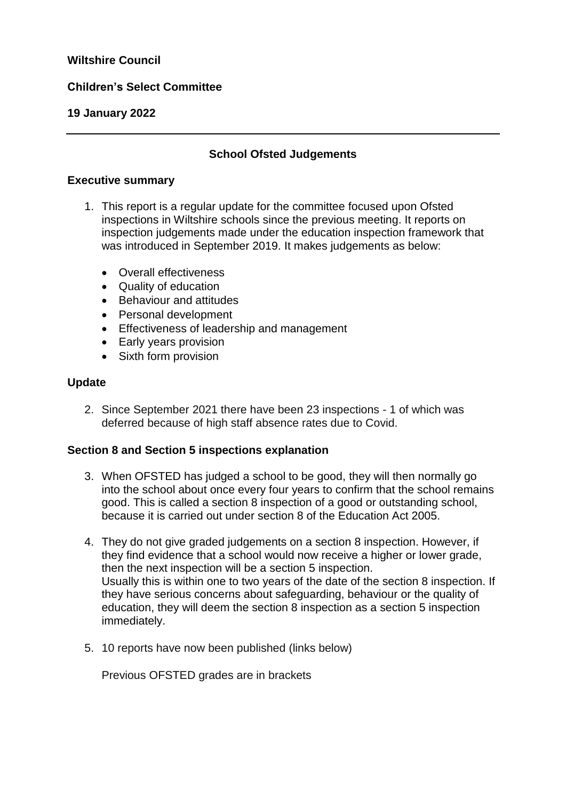## **Wiltshire Council**

## **Children's Select Committee**

### **19 January 2022**

## **School Ofsted Judgements**

#### **Executive summary**

- 1. This report is a regular update for the committee focused upon Ofsted inspections in Wiltshire schools since the previous meeting. It reports on inspection judgements made under the education inspection framework that was introduced in September 2019. It makes judgements as below:
	- Overall effectiveness
	- Quality of education
	- Behaviour and attitudes
	- Personal development
	- Effectiveness of leadership and management
	- Early years provision
	- Sixth form provision

### **Update**

2. Since September 2021 there have been 23 inspections - 1 of which was deferred because of high staff absence rates due to Covid.

### **Section 8 and Section 5 inspections explanation**

- 3. When OFSTED has judged a school to be good, they will then normally go into the school about once every four years to confirm that the school remains good. This is called a section 8 inspection of a good or outstanding school, because it is carried out under section 8 of the Education Act 2005.
- 4. They do not give graded judgements on a section 8 inspection. However, if they find evidence that a school would now receive a higher or lower grade, then the next inspection will be a section 5 inspection. Usually this is within one to two years of the date of the section 8 inspection. If they have serious concerns about safeguarding, behaviour or the quality of education, they will deem the section 8 inspection as a section 5 inspection immediately.
- 5. 10 reports have now been published (links below)

Previous OFSTED grades are in brackets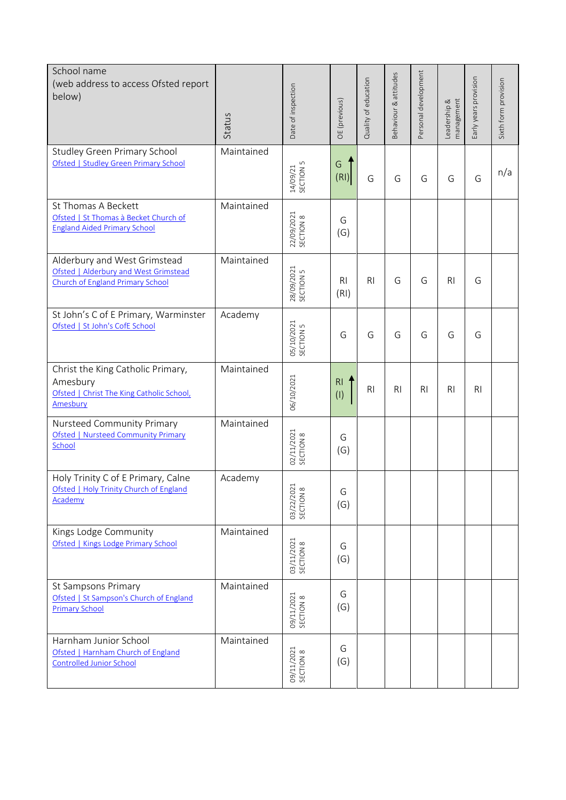| School name<br>(web address to access Ofsted report<br>below)                                             | Status     | Date of inspection               | OE (previous)         | Quality of education | Behaviour & attitudes | Personal development | management<br>Leadership & | Early years provision | Sixth form provision |
|-----------------------------------------------------------------------------------------------------------|------------|----------------------------------|-----------------------|----------------------|-----------------------|----------------------|----------------------------|-----------------------|----------------------|
| <b>Studley Green Primary School</b><br>Ofsted   Studley Green Primary School                              | Maintained | SECTION <sub>5</sub><br>14/09/21 | G<br>(RI)             | G                    | G                     | G                    | G                          | G                     | n/a                  |
| St Thomas A Beckett<br>Ofsted   St Thomas à Becket Church of<br><b>England Aided Primary School</b>       | Maintained | 22/09/2021<br>SECTION 8          | G<br>(G)              |                      |                       |                      |                            |                       |                      |
| Alderbury and West Grimstead<br>Ofsted   Alderbury and West Grimstead<br>Church of England Primary School | Maintained | 28/09/2021<br>SECTION 5          | <b>RI</b><br>(RI)     | R <sub>l</sub>       | G                     | G                    | R <sub>l</sub>             | G                     |                      |
| St John's C of E Primary, Warminster<br>Ofsted   St John's CofE School                                    | Academy    | 05/10/2021<br>SECTION 5          | G                     | G                    | G                     | G                    | G                          | G                     |                      |
| Christ the King Catholic Primary,<br>Amesbury<br>Ofsted   Christ The King Catholic School,<br>Amesbury    | Maintained | 06/10/2021                       | R <sub>l</sub><br>(1) | R <sub>l</sub>       | R <sub>l</sub>        | R <sub>l</sub>       | R <sub>l</sub>             | R <sub>l</sub>        |                      |
| Nursteed Community Primary<br><b>Ofsted   Nursteed Community Primary</b><br>School                        | Maintained | 02/11/2021<br>SECTION 8          | G<br>(G)              |                      |                       |                      |                            |                       |                      |
| Holy Trinity C of E Primary, Calne<br>Ofsted   Holy Trinity Church of England<br>Academy                  | Academy    | 03/22/2021<br>SECTION 8          | G<br>(G)              |                      |                       |                      |                            |                       |                      |
| Kings Lodge Community<br>Ofsted   Kings Lodge Primary School                                              | Maintained | 03/11/2021<br>SECTION 8          | G<br>(G)              |                      |                       |                      |                            |                       |                      |
| St Sampsons Primary<br>Ofsted   St Sampson's Church of England<br><b>Primary School</b>                   | Maintained | 09/11/2021<br>SECTION 8          | G<br>(G)              |                      |                       |                      |                            |                       |                      |
| Harnham Junior School<br>Ofsted   Harnham Church of England<br><b>Controlled Junior School</b>            | Maintained | 09/11/2021<br>SECTION 8          | G<br>(G)              |                      |                       |                      |                            |                       |                      |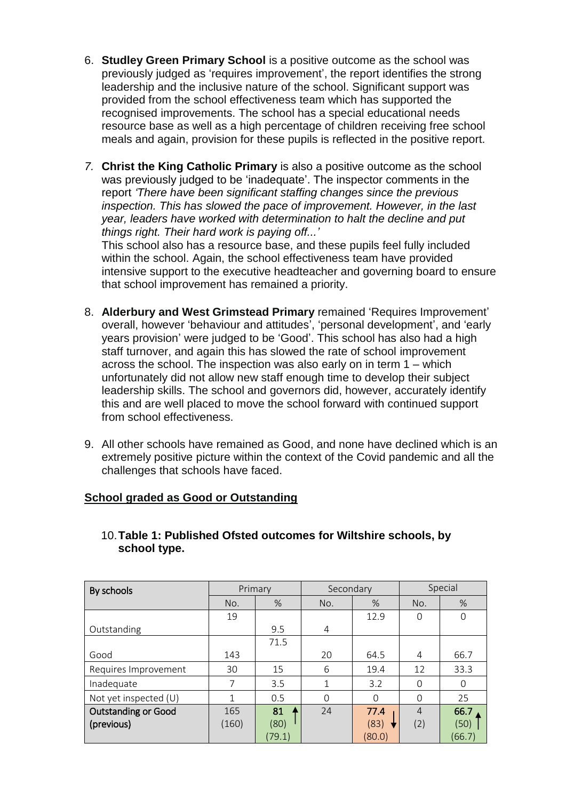- 6. **Studley Green Primary School** is a positive outcome as the school was previously judged as 'requires improvement', the report identifies the strong leadership and the inclusive nature of the school. Significant support was provided from the school effectiveness team which has supported the recognised improvements. The school has a special educational needs resource base as well as a high percentage of children receiving free school meals and again, provision for these pupils is reflected in the positive report.
- *7.* **Christ the King Catholic Primary** is also a positive outcome as the school was previously judged to be 'inadequate'. The inspector comments in the report *'There have been significant staffing changes since the previous inspection. This has slowed the pace of improvement. However, in the last year, leaders have worked with determination to halt the decline and put things right. Their hard work is paying off...'*

This school also has a resource base, and these pupils feel fully included within the school. Again, the school effectiveness team have provided intensive support to the executive headteacher and governing board to ensure that school improvement has remained a priority.

- 8. **Alderbury and West Grimstead Primary** remained 'Requires Improvement' overall, however 'behaviour and attitudes', 'personal development', and 'early years provision' were judged to be 'Good'. This school has also had a high staff turnover, and again this has slowed the rate of school improvement across the school. The inspection was also early on in term 1 – which unfortunately did not allow new staff enough time to develop their subject leadership skills. The school and governors did, however, accurately identify this and are well placed to move the school forward with continued support from school effectiveness.
- 9. All other schools have remained as Good, and none have declined which is an extremely positive picture within the context of the Covid pandemic and all the challenges that schools have faced.

## **School graded as Good or Outstanding**

| By schools                 | Primary |        | Secondary      |          | Special        |          |  |
|----------------------------|---------|--------|----------------|----------|----------------|----------|--|
|                            | No.     | %      | No.            | %        | No.            | %        |  |
|                            | 19      |        |                | 12.9     | $\Omega$       | 0        |  |
| Outstanding                |         | 9.5    | $\overline{4}$ |          |                |          |  |
|                            |         | 71.5   |                |          |                |          |  |
| Good                       | 143     |        | 20             | 64.5     | 4              | 66.7     |  |
| Requires Improvement       | 30      | 15     | 6              | 19.4     | 12             | 33.3     |  |
| Inadequate                 | 7       | 3.5    | 1              | 3.2      | $\Omega$       | $\Omega$ |  |
| Not yet inspected (U)      | 1       | 0.5    | $\Omega$       | $\Omega$ | $\Omega$       | 25       |  |
| <b>Outstanding or Good</b> | 165     | 81     | 24             | 77.4     | $\overline{4}$ | 66.7     |  |
| (previous)                 | (160)   | (80)   |                | (83)     | (2)            | (50)     |  |
|                            |         | (79.1) |                | (80.0)   |                | (66.7)   |  |

10.**Table 1: Published Ofsted outcomes for Wiltshire schools, by school type.**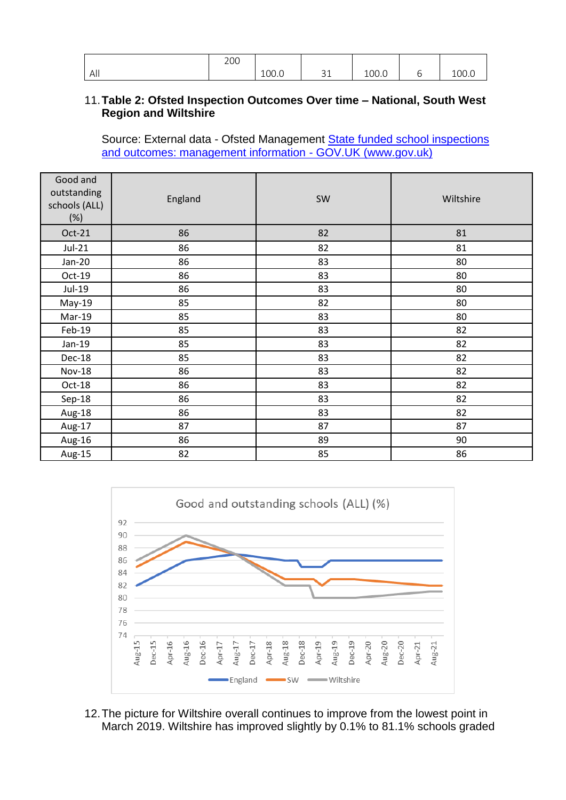|     | 200 |       |                 |       |   |       |
|-----|-----|-------|-----------------|-------|---|-------|
| All |     | 100.0 | $\bigcap$<br>ᇰᆂ | 100.0 | ◡ | 100.0 |

## 11.**Table 2: Ofsted Inspection Outcomes Over time – National, South West Region and Wiltshire**

Source: External data - Ofsted Management State funded school inspections and outcomes: management information - GOV.UK (www.gov.uk)

| Good and<br>outstanding<br>schools (ALL)<br>(%) | England | SW | Wiltshire |
|-------------------------------------------------|---------|----|-----------|
| Oct-21                                          | 86      | 82 | 81        |
| $Jul-21$                                        | 86      | 82 | 81        |
| $Jan-20$                                        | 86      | 83 | 80        |
| $Oct-19$                                        | 86      | 83 | 80        |
| Jul-19                                          | 86      | 83 | 80        |
| May-19                                          | 85      | 82 | 80        |
| Mar-19                                          | 85      | 83 | 80        |
| Feb-19                                          | 85      | 83 | 82        |
| Jan-19                                          | 85      | 83 | 82        |
| Dec-18                                          | 85      | 83 | 82        |
| <b>Nov-18</b>                                   | 86      | 83 | 82        |
| $Oct-18$                                        | 86      | 83 | 82        |
| Sep-18                                          | 86      | 83 | 82        |
| Aug-18                                          | 86      | 83 | 82        |
| Aug-17                                          | 87      | 87 | 87        |
| Aug-16                                          | 86      | 89 | 90        |
| Aug-15                                          | 82      | 85 | 86        |



12.The picture for Wiltshire overall continues to improve from the lowest point in March 2019. Wiltshire has improved slightly by 0.1% to 81.1% schools graded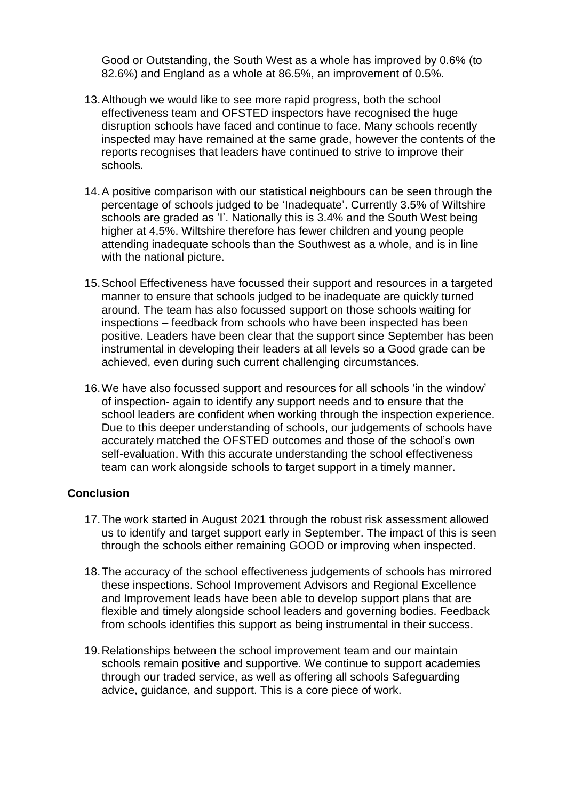Good or Outstanding, the South West as a whole has improved by 0.6% (to 82.6%) and England as a whole at 86.5%, an improvement of 0.5%.

- 13.Although we would like to see more rapid progress, both the school effectiveness team and OFSTED inspectors have recognised the huge disruption schools have faced and continue to face. Many schools recently inspected may have remained at the same grade, however the contents of the reports recognises that leaders have continued to strive to improve their schools.
- 14.A positive comparison with our statistical neighbours can be seen through the percentage of schools judged to be 'Inadequate'. Currently 3.5% of Wiltshire schools are graded as 'I'. Nationally this is 3.4% and the South West being higher at 4.5%. Wiltshire therefore has fewer children and young people attending inadequate schools than the Southwest as a whole, and is in line with the national picture.
- 15.School Effectiveness have focussed their support and resources in a targeted manner to ensure that schools judged to be inadequate are quickly turned around. The team has also focussed support on those schools waiting for inspections – feedback from schools who have been inspected has been positive. Leaders have been clear that the support since September has been instrumental in developing their leaders at all levels so a Good grade can be achieved, even during such current challenging circumstances.
- 16.We have also focussed support and resources for all schools 'in the window' of inspection- again to identify any support needs and to ensure that the school leaders are confident when working through the inspection experience. Due to this deeper understanding of schools, our judgements of schools have accurately matched the OFSTED outcomes and those of the school's own self-evaluation. With this accurate understanding the school effectiveness team can work alongside schools to target support in a timely manner.

## **Conclusion**

- 17.The work started in August 2021 through the robust risk assessment allowed us to identify and target support early in September. The impact of this is seen through the schools either remaining GOOD or improving when inspected.
- 18.The accuracy of the school effectiveness judgements of schools has mirrored these inspections. School Improvement Advisors and Regional Excellence and Improvement leads have been able to develop support plans that are flexible and timely alongside school leaders and governing bodies. Feedback from schools identifies this support as being instrumental in their success.
- 19.Relationships between the school improvement team and our maintain schools remain positive and supportive. We continue to support academies through our traded service, as well as offering all schools Safeguarding advice, guidance, and support. This is a core piece of work.